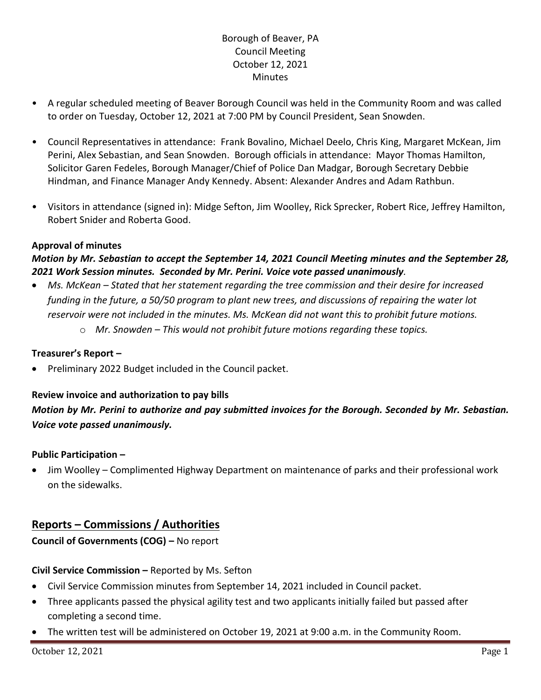# Borough of Beaver, PA Council Meeting October 12, 2021 **Minutes**

- A regular scheduled meeting of Beaver Borough Council was held in the Community Room and was called to order on Tuesday, October 12, 2021 at 7:00 PM by Council President, Sean Snowden.
- Council Representatives in attendance: Frank Bovalino, Michael Deelo, Chris King, Margaret McKean, Jim Perini, Alex Sebastian, and Sean Snowden. Borough officials in attendance: Mayor Thomas Hamilton, Solicitor Garen Fedeles, Borough Manager/Chief of Police Dan Madgar, Borough Secretary Debbie Hindman, and Finance Manager Andy Kennedy. Absent: Alexander Andres and Adam Rathbun.
- Visitors in attendance (signed in): Midge Sefton, Jim Woolley, Rick Sprecker, Robert Rice, Jeffrey Hamilton, Robert Snider and Roberta Good.

# **Approval of minutes**

# *Motion by Mr. Sebastian to accept the September 14, 2021 Council Meeting minutes and the September 28, 2021 Work Session minutes. Seconded by Mr. Perini. Voice vote passed unanimously.*

- *Ms. McKean – Stated that her statement regarding the tree commission and their desire for increased funding in the future, a 50/50 program to plant new trees, and discussions of repairing the water lot reservoir were not included in the minutes. Ms. McKean did not want this to prohibit future motions.*
	- o *Mr. Snowden – This would not prohibit future motions regarding these topics.*

#### **Treasurer's Report –**

• Preliminary 2022 Budget included in the Council packet.

# **Review invoice and authorization to pay bills**

*Motion by Mr. Perini to authorize and pay submitted invoices for the Borough. Seconded by Mr. Sebastian. Voice vote passed unanimously.*

# **Public Participation –**

• Jim Woolley – Complimented Highway Department on maintenance of parks and their professional work on the sidewalks.

# **Reports – Commissions / Authorities**

# **Council of Governments (COG) –** No report

# **Civil Service Commission –** Reported by Ms. Sefton

- Civil Service Commission minutes from September 14, 2021 included in Council packet.
- Three applicants passed the physical agility test and two applicants initially failed but passed after completing a second time.
- The written test will be administered on October 19, 2021 at 9:00 a.m. in the Community Room.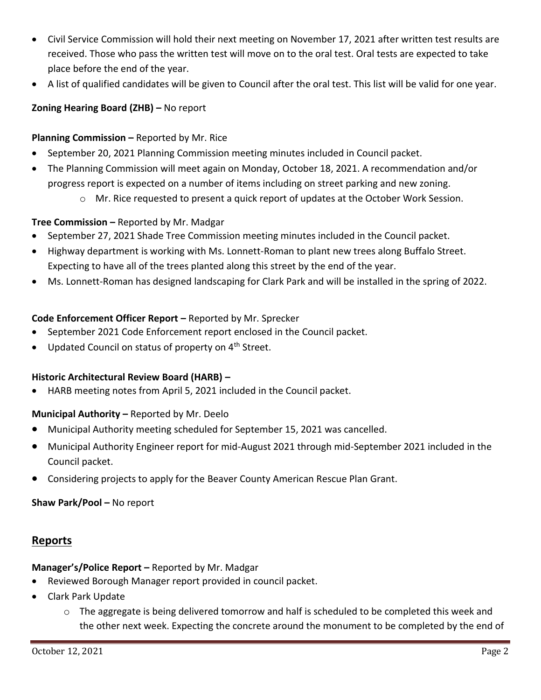- Civil Service Commission will hold their next meeting on November 17, 2021 after written test results are received. Those who pass the written test will move on to the oral test. Oral tests are expected to take place before the end of the year.
- A list of qualified candidates will be given to Council after the oral test. This list will be valid for one year.

# **Zoning Hearing Board (ZHB) –** No report

# **Planning Commission –** Reported by Mr. Rice

- September 20, 2021 Planning Commission meeting minutes included in Council packet.
- The Planning Commission will meet again on Monday, October 18, 2021. A recommendation and/or progress report is expected on a number of items including on street parking and new zoning.
	- o Mr. Rice requested to present a quick report of updates at the October Work Session.

# **Tree Commission –** Reported by Mr. Madgar

- September 27, 2021 Shade Tree Commission meeting minutes included in the Council packet.
- Highway department is working with Ms. Lonnett-Roman to plant new trees along Buffalo Street. Expecting to have all of the trees planted along this street by the end of the year.
- Ms. Lonnett-Roman has designed landscaping for Clark Park and will be installed in the spring of 2022.

# **Code Enforcement Officer Report –** Reported by Mr. Sprecker

- September 2021 Code Enforcement report enclosed in the Council packet.
- Updated Council on status of property on 4<sup>th</sup> Street.

# **Historic Architectural Review Board (HARB) –**

• HARB meeting notes from April 5, 2021 included in the Council packet.

# **Municipal Authority –** Reported by Mr. Deelo

- Municipal Authority meeting scheduled for September 15, 2021 was cancelled.
- Municipal Authority Engineer report for mid-August 2021 through mid-September 2021 included in the Council packet.
- Considering projects to apply for the Beaver County American Rescue Plan Grant.

# **Shaw Park/Pool –** No report

# **Reports**

# **Manager's/Police Report –** Reported by Mr. Madgar

- Reviewed Borough Manager report provided in council packet.
- Clark Park Update
	- $\circ$  The aggregate is being delivered tomorrow and half is scheduled to be completed this week and the other next week. Expecting the concrete around the monument to be completed by the end of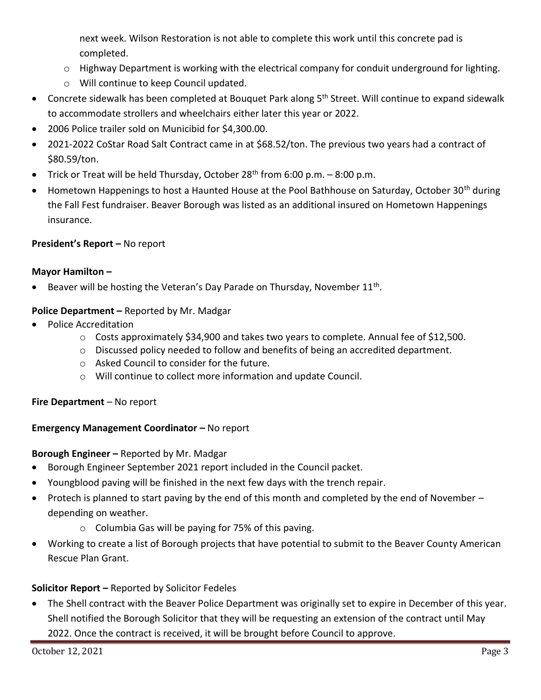next week. Wilson Restoration is not able to complete this work until this concrete pad is completed.

- o Highway Department is working with the electrical company for conduit underground for lighting.
- o Will continue to keep Council updated.
- Concrete sidewalk has been completed at Bouquet Park along 5<sup>th</sup> Street. Will continue to expand sidewalk to accommodate strollers and wheelchairs either later this year or 2022.
- 2006 Police trailer sold on Municibid for \$4,300.00.
- 2021-2022 CoStar Road Salt Contract came in at \$68.52/ton. The previous two years had a contract of \$80.59/ton.
- Trick or Treat will be held Thursday, October  $28<sup>th</sup>$  from 6:00 p.m. 8:00 p.m.
- Hometown Happenings to host a Haunted House at the Pool Bathhouse on Saturday, October 30<sup>th</sup> during the Fall Fest fundraiser. Beaver Borough was listed as an additional insured on Hometown Happenings insurance.

# **President's Report –** No report

# **Mayor Hamilton –**

**•** Beaver will be hosting the Veteran's Day Parade on Thursday, November  $11<sup>th</sup>$ .

# **Police Department –** Reported by Mr. Madgar

- Police Accreditation
	- $\circ$  Costs approximately \$34,900 and takes two years to complete. Annual fee of \$12,500.
	- o Discussed policy needed to follow and benefits of being an accredited department.
	- o Asked Council to consider for the future.
	- o Will continue to collect more information and update Council.

# **Fire Department** – No report

# **Emergency Management Coordinator – No report**

# **Borough Engineer –** Reported by Mr. Madgar

- Borough Engineer September 2021 report included in the Council packet.
- Youngblood paving will be finished in the next few days with the trench repair.
- Protech is planned to start paving by the end of this month and completed by the end of November depending on weather.
	- o Columbia Gas will be paying for 75% of this paving.
- Working to create a list of Borough projects that have potential to submit to the Beaver County American Rescue Plan Grant.

# **Solicitor Report –** Reported by Solicitor Fedeles

• The Shell contract with the Beaver Police Department was originally set to expire in December of this year. Shell notified the Borough Solicitor that they will be requesting an extension of the contract until May 2022. Once the contract is received, it will be brought before Council to approve.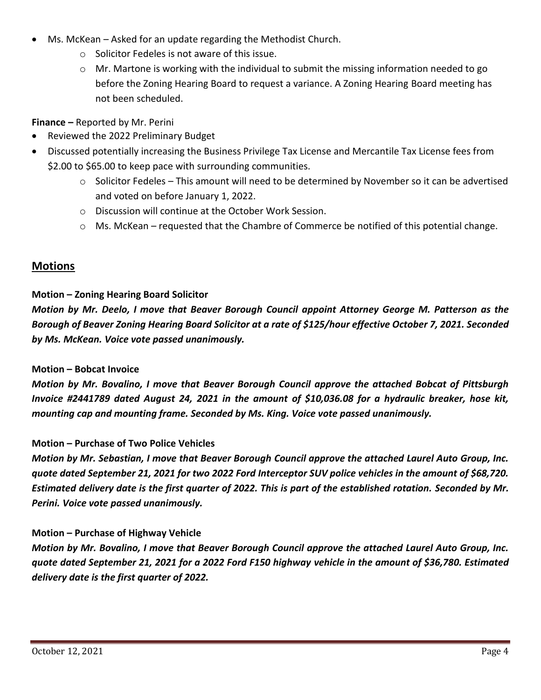- Ms. McKean Asked for an update regarding the Methodist Church.
	- o Solicitor Fedeles is not aware of this issue.
	- $\circ$  Mr. Martone is working with the individual to submit the missing information needed to go before the Zoning Hearing Board to request a variance. A Zoning Hearing Board meeting has not been scheduled.

**Finance –** Reported by Mr. Perini

- Reviewed the 2022 Preliminary Budget
- Discussed potentially increasing the Business Privilege Tax License and Mercantile Tax License fees from \$2.00 to \$65.00 to keep pace with surrounding communities.
	- $\circ$  Solicitor Fedeles This amount will need to be determined by November so it can be advertised and voted on before January 1, 2022.
	- o Discussion will continue at the October Work Session.
	- $\circ$  Ms. McKean requested that the Chambre of Commerce be notified of this potential change.

# **Motions**

# **Motion – Zoning Hearing Board Solicitor**

*Motion by Mr. Deelo, I move that Beaver Borough Council appoint Attorney George M. Patterson as the Borough of Beaver Zoning Hearing Board Solicitor at a rate of \$125/hour effective October 7, 2021. Seconded by Ms. McKean. Voice vote passed unanimously.*

# **Motion – Bobcat Invoice**

*Motion by Mr. Bovalino, I move that Beaver Borough Council approve the attached Bobcat of Pittsburgh Invoice #2441789 dated August 24, 2021 in the amount of \$10,036.08 for a hydraulic breaker, hose kit, mounting cap and mounting frame. Seconded by Ms. King. Voice vote passed unanimously.*

# **Motion – Purchase of Two Police Vehicles**

*Motion by Mr. Sebastian, I move that Beaver Borough Council approve the attached Laurel Auto Group, Inc. quote dated September 21, 2021 for two 2022 Ford Interceptor SUV police vehicles in the amount of \$68,720. Estimated delivery date is the first quarter of 2022. This is part of the established rotation. Seconded by Mr. Perini. Voice vote passed unanimously.*

# **Motion – Purchase of Highway Vehicle**

*Motion by Mr. Bovalino, I move that Beaver Borough Council approve the attached Laurel Auto Group, Inc. quote dated September 21, 2021 for a 2022 Ford F150 highway vehicle in the amount of \$36,780. Estimated delivery date is the first quarter of 2022.*